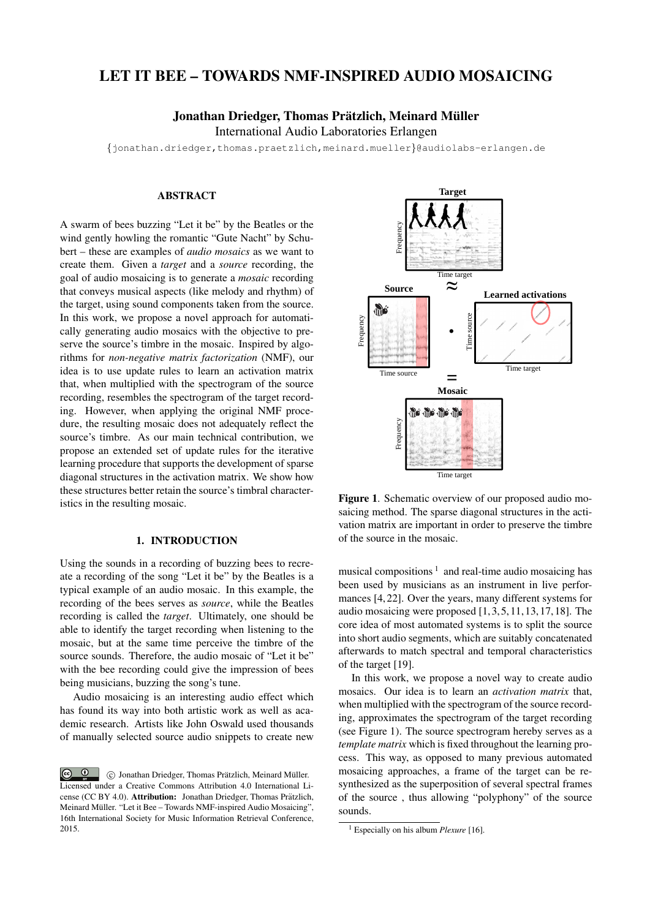# LET IT BEE – TOWARDS NMF-INSPIRED AUDIO MOSAICING

Jonathan Driedger, Thomas Prätzlich, Meinard Müller

International Audio Laboratories Erlangen

{jonathan.driedger,thomas.praetzlich,meinard.mueller}@audiolabs-erlangen.de

#### ABSTRACT

A swarm of bees buzzing "Let it be" by the Beatles or the wind gently howling the romantic "Gute Nacht" by Schubert – these are examples of *audio mosaics* as we want to create them. Given a *target* and a *source* recording, the goal of audio mosaicing is to generate a *mosaic* recording that conveys musical aspects (like melody and rhythm) of the target, using sound components taken from the source. In this work, we propose a novel approach for automatically generating audio mosaics with the objective to preserve the source's timbre in the mosaic. Inspired by algorithms for *non-negative matrix factorization* (NMF), our idea is to use update rules to learn an activation matrix that, when multiplied with the spectrogram of the source recording, resembles the spectrogram of the target recording. However, when applying the original NMF procedure, the resulting mosaic does not adequately reflect the source's timbre. As our main technical contribution, we propose an extended set of update rules for the iterative learning procedure that supports the development of sparse diagonal structures in the activation matrix. We show how these structures better retain the source's timbral characteristics in the resulting mosaic.

# 1. INTRODUCTION

Using the sounds in a recording of buzzing bees to recreate a recording of the song "Let it be" by the Beatles is a typical example of an audio mosaic. In this example, the recording of the bees serves as *source*, while the Beatles recording is called the *target*. Ultimately, one should be able to identify the target recording when listening to the mosaic, but at the same time perceive the timbre of the source sounds. Therefore, the audio mosaic of "Let it be" with the bee recording could give the impression of bees being musicians, buzzing the song's tune.

Audio mosaicing is an interesting audio effect which has found its way into both artistic work as well as academic research. Artists like John Oswald used thousands of manually selected source audio snippets to create new



Figure 1. Schematic overview of our proposed audio mosaicing method. The sparse diagonal structures in the activation matrix are important in order to preserve the timbre of the source in the mosaic.

musical compositions  $1$  and real-time audio mosaicing has been used by musicians as an instrument in live performances [4, 22]. Over the years, many different systems for audio mosaicing were proposed [1, 3, 5, 11, 13, 17, 18]. The core idea of most automated systems is to split the source into short audio segments, which are suitably concatenated afterwards to match spectral and temporal characteristics of the target [19].

In this work, we propose a novel way to create audio mosaics. Our idea is to learn an *activation matrix* that, when multiplied with the spectrogram of the source recording, approximates the spectrogram of the target recording (see Figure 1). The source spectrogram hereby serves as a *template matrix* which is fixed throughout the learning process. This way, as opposed to many previous automated mosaicing approaches, a frame of the target can be resynthesized as the superposition of several spectral frames of the source , thus allowing "polyphony" of the source sounds.

 $\circ$   $\circ$ (c) Jonathan Driedger, Thomas Prätzlich, Meinard Müller. Licensed under a Creative Commons Attribution 4.0 International License (CC BY 4.0). Attribution: Jonathan Driedger, Thomas Prätzlich, Meinard Müller. "Let it Bee – Towards NMF-inspired Audio Mosaicing", 16th International Society for Music Information Retrieval Conference, 2015.

<sup>1</sup> Especially on his album *Plexure* [16].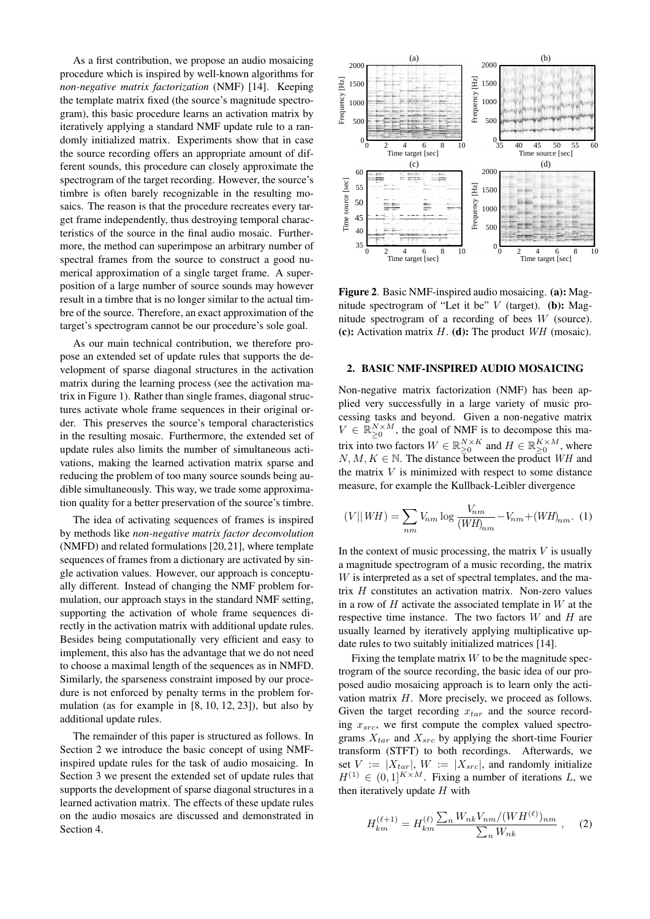As a first contribution, we propose an audio mosaicing procedure which is inspired by well-known algorithms for *non-negative matrix factorization* (NMF) [14]. Keeping the template matrix fixed (the source's magnitude spectrogram), this basic procedure learns an activation matrix by iteratively applying a standard NMF update rule to a randomly initialized matrix. Experiments show that in case the source recording offers an appropriate amount of different sounds, this procedure can closely approximate the spectrogram of the target recording. However, the source's timbre is often barely recognizable in the resulting mosaics. The reason is that the procedure recreates every target frame independently, thus destroying temporal characteristics of the source in the final audio mosaic. Furthermore, the method can superimpose an arbitrary number of spectral frames from the source to construct a good numerical approximation of a single target frame. A superposition of a large number of source sounds may however result in a timbre that is no longer similar to the actual timbre of the source. Therefore, an exact approximation of the target's spectrogram cannot be our procedure's sole goal.

As our main technical contribution, we therefore propose an extended set of update rules that supports the development of sparse diagonal structures in the activation matrix during the learning process (see the activation matrix in Figure 1). Rather than single frames, diagonal structures activate whole frame sequences in their original order. This preserves the source's temporal characteristics in the resulting mosaic. Furthermore, the extended set of update rules also limits the number of simultaneous activations, making the learned activation matrix sparse and reducing the problem of too many source sounds being audible simultaneously. This way, we trade some approximation quality for a better preservation of the source's timbre.

The idea of activating sequences of frames is inspired by methods like *non-negative matrix factor deconvolution* (NMFD) and related formulations [20,21], where template sequences of frames from a dictionary are activated by single activation values. However, our approach is conceptually different. Instead of changing the NMF problem formulation, our approach stays in the standard NMF setting, supporting the activation of whole frame sequences directly in the activation matrix with additional update rules. Besides being computationally very efficient and easy to implement, this also has the advantage that we do not need to choose a maximal length of the sequences as in NMFD. Similarly, the sparseness constraint imposed by our procedure is not enforced by penalty terms in the problem formulation (as for example in [8, 10, 12, 23]), but also by additional update rules.

The remainder of this paper is structured as follows. In Section 2 we introduce the basic concept of using NMFinspired update rules for the task of audio mosaicing. In Section 3 we present the extended set of update rules that supports the development of sparse diagonal structures in a learned activation matrix. The effects of these update rules on the audio mosaics are discussed and demonstrated in Section 4.



Figure 2. Basic NMF-inspired audio mosaicing. (a): Magnitude spectrogram of "Let it be"  $V$  (target). (b): Magnitude spectrogram of a recording of bees W (source). (c): Activation matrix  $H$ . (d): The product  $WH$  (mosaic).

# 2. BASIC NMF-INSPIRED AUDIO MOSAICING

Non-negative matrix factorization (NMF) has been applied very successfully in a large variety of music processing tasks and beyond. Given a non-negative matrix  $V \in \mathbb{R}_{\geq 0}^{N \times M}$ , the goal of NMF is to decompose this matrix into two factors  $W \in \mathbb{R}_{\geq 0}^{N \times K}$  and  $H \in \mathbb{R}_{\geq 0}^{K \times M}$ , where  $N, M, K \in \mathbb{N}$ . The distance between the product WH and the matrix  $V$  is minimized with respect to some distance measure, for example the Kullback-Leibler divergence

$$
(V||WH) = \sum_{nm} V_{nm} \log \frac{V_{nm}}{(WH)_{nm}} - V_{nm} + (WH)_{nm}.
$$
 (1)

In the context of music processing, the matrix  $V$  is usually a magnitude spectrogram of a music recording, the matrix W is interpreted as a set of spectral templates, and the matrix H constitutes an activation matrix. Non-zero values in a row of  $H$  activate the associated template in  $W$  at the respective time instance. The two factors  $W$  and  $H$  are usually learned by iteratively applying multiplicative update rules to two suitably initialized matrices [14].

Fixing the template matrix  $W$  to be the magnitude spectrogram of the source recording, the basic idea of our proposed audio mosaicing approach is to learn only the activation matrix H. More precisely, we proceed as follows. Given the target recording  $x_{tar}$  and the source recording  $x_{src}$ , we first compute the complex valued spectrograms  $X_{tar}$  and  $X_{src}$  by applying the short-time Fourier transform (STFT) to both recordings. Afterwards, we set  $V := |X_{tar}|$ ,  $W := |X_{src}|$ , and randomly initialize  $H^{(1)} \in (0,1]^{K \times M}$ . Fixing a number of iterations L, we then iteratively update  $H$  with

$$
H_{km}^{(\ell+1)} = H_{km}^{(\ell)} \frac{\sum_{n} W_{nk} V_{nm} / (W H^{(\ell)})_{nm}}{\sum_{n} W_{nk}}, \quad (2)
$$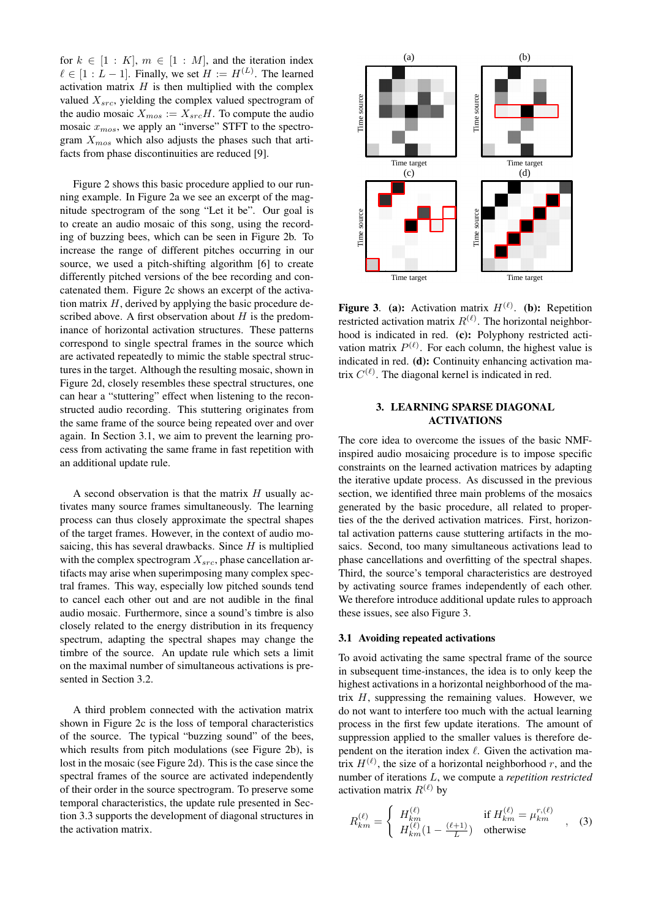for  $k \in [1 : K]$ ,  $m \in [1 : M]$ , and the iteration index  $\ell \in [1 : L - 1]$ . Finally, we set  $H := H^{(L)}$ . The learned activation matrix  $H$  is then multiplied with the complex valued  $X_{src}$ , yielding the complex valued spectrogram of the audio mosaic  $X_{mos} := X_{src}H$ . To compute the audio mosaic  $x_{\text{mos}}$ , we apply an "inverse" STFT to the spectrogram  $X_{m\text{o}s}$  which also adjusts the phases such that artifacts from phase discontinuities are reduced [9].

Figure 2 shows this basic procedure applied to our running example. In Figure 2a we see an excerpt of the magnitude spectrogram of the song "Let it be". Our goal is to create an audio mosaic of this song, using the recording of buzzing bees, which can be seen in Figure 2b. To increase the range of different pitches occurring in our source, we used a pitch-shifting algorithm [6] to create differently pitched versions of the bee recording and concatenated them. Figure 2c shows an excerpt of the activation matrix  $H$ , derived by applying the basic procedure described above. A first observation about  $H$  is the predominance of horizontal activation structures. These patterns correspond to single spectral frames in the source which are activated repeatedly to mimic the stable spectral structures in the target. Although the resulting mosaic, shown in Figure 2d, closely resembles these spectral structures, one can hear a "stuttering" effect when listening to the reconstructed audio recording. This stuttering originates from the same frame of the source being repeated over and over again. In Section 3.1, we aim to prevent the learning process from activating the same frame in fast repetition with an additional update rule.

A second observation is that the matrix  $H$  usually activates many source frames simultaneously. The learning process can thus closely approximate the spectral shapes of the target frames. However, in the context of audio mosaicing, this has several drawbacks. Since  $H$  is multiplied with the complex spectrogram  $X_{src}$ , phase cancellation artifacts may arise when superimposing many complex spectral frames. This way, especially low pitched sounds tend to cancel each other out and are not audible in the final audio mosaic. Furthermore, since a sound's timbre is also closely related to the energy distribution in its frequency spectrum, adapting the spectral shapes may change the timbre of the source. An update rule which sets a limit on the maximal number of simultaneous activations is presented in Section 3.2.

A third problem connected with the activation matrix shown in Figure 2c is the loss of temporal characteristics of the source. The typical "buzzing sound" of the bees, which results from pitch modulations (see Figure 2b), is lost in the mosaic (see Figure 2d). This is the case since the spectral frames of the source are activated independently of their order in the source spectrogram. To preserve some temporal characteristics, the update rule presented in Section 3.3 supports the development of diagonal structures in the activation matrix.



**Figure 3.** (a): Activation matrix  $H^{(\ell)}$ . (b): Repetition restricted activation matrix  $R^{(\ell)}$ . The horizontal neighborhood is indicated in red. (c): Polyphony restricted activation matrix  $P^{(\ell)}$ . For each column, the highest value is indicated in red. (d): Continuity enhancing activation matrix  $C^{(\ell)}$ . The diagonal kernel is indicated in red.

# 3. LEARNING SPARSE DIAGONAL ACTIVATIONS

The core idea to overcome the issues of the basic NMFinspired audio mosaicing procedure is to impose specific constraints on the learned activation matrices by adapting the iterative update process. As discussed in the previous section, we identified three main problems of the mosaics generated by the basic procedure, all related to properties of the the derived activation matrices. First, horizontal activation patterns cause stuttering artifacts in the mosaics. Second, too many simultaneous activations lead to phase cancellations and overfitting of the spectral shapes. Third, the source's temporal characteristics are destroyed by activating source frames independently of each other. We therefore introduce additional update rules to approach these issues, see also Figure 3.

## 3.1 Avoiding repeated activations

To avoid activating the same spectral frame of the source in subsequent time-instances, the idea is to only keep the highest activations in a horizontal neighborhood of the matrix  $H$ , suppressing the remaining values. However, we do not want to interfere too much with the actual learning process in the first few update iterations. The amount of suppression applied to the smaller values is therefore dependent on the iteration index  $\ell$ . Given the activation matrix  $H^{(\ell)}$ , the size of a horizontal neighborhood r, and the number of iterations L, we compute a *repetition restricted* activation matrix  $R^{(\ell)}$  by

$$
R_{km}^{(\ell)} = \begin{cases} H_{km}^{(\ell)} & \text{if } H_{km}^{(\ell)} = \mu_{km}^{r,(\ell)} \\ H_{km}^{(\ell)}(1 - \frac{(\ell+1)}{L}) & \text{otherwise} \end{cases}
$$
 (3)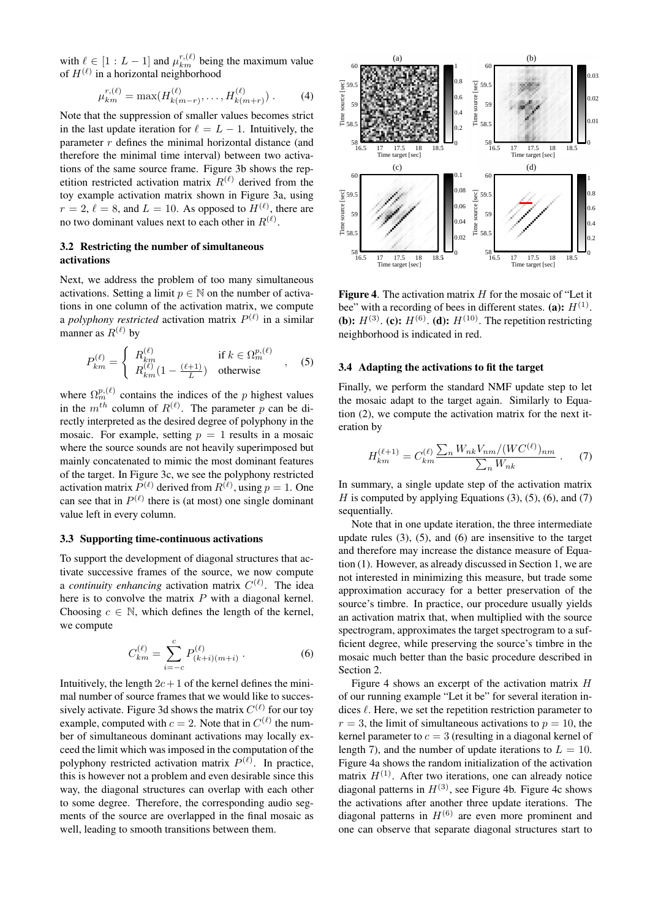with  $\ell \in [1 : L - 1]$  and  $\mu_{km}^{r,(\ell)}$  being the maximum value of  $H^{(\ell)}$  in a horizontal neighborhood

$$
\mu_{km}^{r,(\ell)} = \max(H_{k(m-r)}^{(\ell)}, \dots, H_{k(m+r)}^{(\ell)}).
$$
 (4)

Note that the suppression of smaller values becomes strict in the last update iteration for  $\ell = L - 1$ . Intuitively, the parameter  $r$  defines the minimal horizontal distance (and therefore the minimal time interval) between two activations of the same source frame. Figure 3b shows the repetition restricted activation matrix  $R^{(\ell)}$  derived from the toy example activation matrix shown in Figure 3a, using  $r = 2$ ,  $\ell = 8$ , and  $L = 10$ . As opposed to  $H^{(\ell)}$ , there are no two dominant values next to each other in  $R^{(\ell)}$ .

# 3.2 Restricting the number of simultaneous activations

Next, we address the problem of too many simultaneous activations. Setting a limit  $p \in \mathbb{N}$  on the number of activations in one column of the activation matrix, we compute a *polyphony restricted* activation matrix  $P^{(\ell)}$  in a similar manner as  $R^{(\ell)}$  by

$$
P_{km}^{(\ell)} = \begin{cases} R_{km}^{(\ell)} & \text{if } k \in \Omega_m^{p,(\ell)}\\ R_{km}^{(\ell)}(1 - \frac{(\ell+1)}{L}) & \text{otherwise} \end{cases}
$$
, (5)

where  $\Omega_m^{p,(\ell)}$  contains the indices of the p highest values in the  $m^{th}$  column of  $R^{(\ell)}$ . The parameter p can be directly interpreted as the desired degree of polyphony in the mosaic. For example, setting  $p = 1$  results in a mosaic where the source sounds are not heavily superimposed but mainly concatenated to mimic the most dominant features of the target. In Figure 3c, we see the polyphony restricted activation matrix  $P^{(\ell)}$  derived from  $R^{(\ell)}$ , using  $p = 1$ . One can see that in  $P^{(\ell)}$  there is (at most) one single dominant value left in every column.

#### 3.3 Supporting time-continuous activations

To support the development of diagonal structures that activate successive frames of the source, we now compute a *continuity enhancing* activation matrix  $C^{(\ell)}$ . The idea here is to convolve the matrix  $P$  with a diagonal kernel. Choosing  $c \in \mathbb{N}$ , which defines the length of the kernel, we compute

$$
C_{km}^{(\ell)} = \sum_{i=-c}^{c} P_{(k+i)(m+i)}^{(\ell)}.
$$
 (6)

Intuitively, the length  $2c+1$  of the kernel defines the minimal number of source frames that we would like to successively activate. Figure 3d shows the matrix  $C^{(\ell)}$  for our toy example, computed with  $c = 2$ . Note that in  $C^{(\ell)}$  the number of simultaneous dominant activations may locally exceed the limit which was imposed in the computation of the polyphony restricted activation matrix  $P^{(\ell)}$ . In practice, this is however not a problem and even desirable since this way, the diagonal structures can overlap with each other to some degree. Therefore, the corresponding audio segments of the source are overlapped in the final mosaic as well, leading to smooth transitions between them.



**Figure 4.** The activation matrix  $H$  for the mosaic of "Let it bee" with a recording of bees in different states. (a):  $H^{(1)}$ . **(b):**  $H^{(3)}$ . **(c):**  $H^{(6)}$ . **(d):**  $H^{(10)}$ . The repetition restricting neighborhood is indicated in red.

#### 3.4 Adapting the activations to fit the target

Finally, we perform the standard NMF update step to let the mosaic adapt to the target again. Similarly to Equation (2), we compute the activation matrix for the next iteration by

$$
H_{km}^{(\ell+1)} = C_{km}^{(\ell)} \frac{\sum_{n} W_{nk} V_{nm} / (W C^{(\ell)})_{nm}}{\sum_{n} W_{nk}} \ . \tag{7}
$$

In summary, a single update step of the activation matrix H is computed by applying Equations  $(3)$ ,  $(5)$ ,  $(6)$ , and  $(7)$ sequentially.

Note that in one update iteration, the three intermediate update rules (3), (5), and (6) are insensitive to the target and therefore may increase the distance measure of Equation (1). However, as already discussed in Section 1, we are not interested in minimizing this measure, but trade some approximation accuracy for a better preservation of the source's timbre. In practice, our procedure usually yields an activation matrix that, when multiplied with the source spectrogram, approximates the target spectrogram to a sufficient degree, while preserving the source's timbre in the mosaic much better than the basic procedure described in Section 2.

Figure 4 shows an excerpt of the activation matrix  $H$ of our running example "Let it be" for several iteration indices  $\ell$ . Here, we set the repetition restriction parameter to  $r = 3$ , the limit of simultaneous activations to  $p = 10$ , the kernel parameter to  $c = 3$  (resulting in a diagonal kernel of length 7), and the number of update iterations to  $L = 10$ . Figure 4a shows the random initialization of the activation matrix  $H^{(1)}$ . After two iterations, one can already notice diagonal patterns in  $H^{(3)}$ , see Figure 4b. Figure 4c shows the activations after another three update iterations. The diagonal patterns in  $H^{(6)}$  are even more prominent and one can observe that separate diagonal structures start to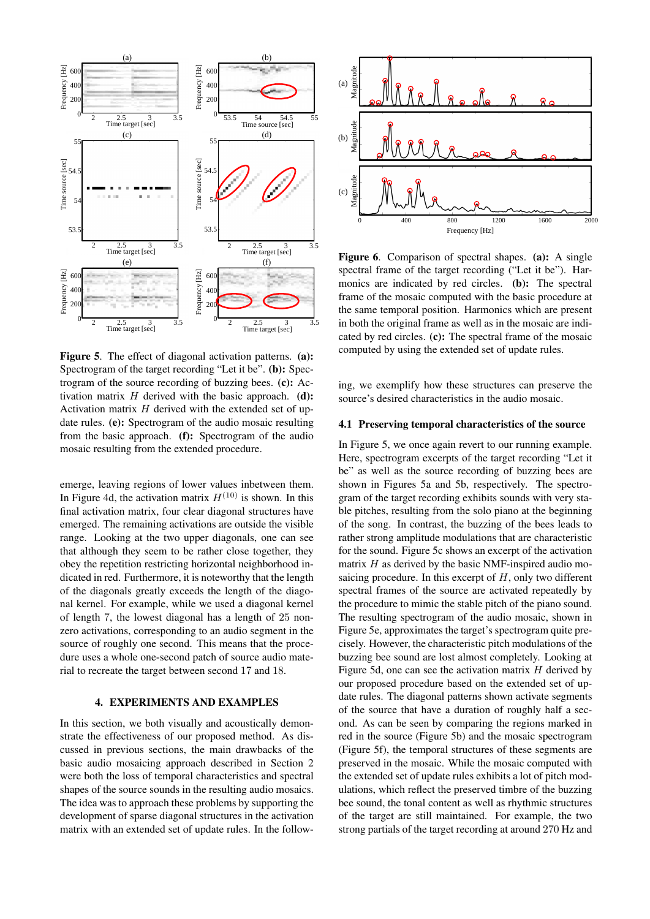

Figure 5. The effect of diagonal activation patterns. (a): Spectrogram of the target recording "Let it be". (b): Spectrogram of the source recording of buzzing bees. (c): Activation matrix  $H$  derived with the basic approach. (d): Activation matrix  $H$  derived with the extended set of update rules. (e): Spectrogram of the audio mosaic resulting from the basic approach. (f): Spectrogram of the audio mosaic resulting from the extended procedure.

emerge, leaving regions of lower values inbetween them. In Figure 4d, the activation matrix  $H^{(10)}$  is shown. In this final activation matrix, four clear diagonal structures have emerged. The remaining activations are outside the visible range. Looking at the two upper diagonals, one can see that although they seem to be rather close together, they obey the repetition restricting horizontal neighborhood indicated in red. Furthermore, it is noteworthy that the length of the diagonals greatly exceeds the length of the diagonal kernel. For example, while we used a diagonal kernel of length 7, the lowest diagonal has a length of 25 nonzero activations, corresponding to an audio segment in the source of roughly one second. This means that the procedure uses a whole one-second patch of source audio material to recreate the target between second 17 and 18.

# 4. EXPERIMENTS AND EXAMPLES

In this section, we both visually and acoustically demonstrate the effectiveness of our proposed method. As discussed in previous sections, the main drawbacks of the basic audio mosaicing approach described in Section 2 were both the loss of temporal characteristics and spectral shapes of the source sounds in the resulting audio mosaics. The idea was to approach these problems by supporting the development of sparse diagonal structures in the activation



Figure 6. Comparison of spectral shapes. (a): A single spectral frame of the target recording ("Let it be"). Harmonics are indicated by red circles. (b): The spectral frame of the mosaic computed with the basic procedure at the same temporal position. Harmonics which are present in both the original frame as well as in the mosaic are indicated by red circles. (c): The spectral frame of the mosaic computed by using the extended set of update rules.

ing, we exemplify how these structures can preserve the source's desired characteristics in the audio mosaic.

#### 4.1 Preserving temporal characteristics of the source

External interest in the matrix with the matrix with the matrix and the set of computers of set of update rules. (b): The set of update rules of update rules in the set of update rules in the set of update rules in the In Figure 5, we once again revert to our running example. Here, spectrogram excerpts of the target recording "Let it be" as well as the source recording of buzzing bees are shown in Figures 5a and 5b, respectively. The spectrogram of the target recording exhibits sounds with very stable pitches, resulting from the solo piano at the beginning of the song. In contrast, the buzzing of the bees leads to rather strong amplitude modulations that are characteristic for the sound. Figure 5c shows an excerpt of the activation matrix  $H$  as derived by the basic NMF-inspired audio mosaicing procedure. In this excerpt of  $H$ , only two different spectral frames of the source are activated repeatedly by the procedure to mimic the stable pitch of the piano sound. The resulting spectrogram of the audio mosaic, shown in Figure 5e, approximates the target's spectrogram quite precisely. However, the characteristic pitch modulations of the buzzing bee sound are lost almost completely. Looking at Figure 5d, one can see the activation matrix  $H$  derived by our proposed procedure based on the extended set of update rules. The diagonal patterns shown activate segments of the source that have a duration of roughly half a second. As can be seen by comparing the regions marked in red in the source (Figure 5b) and the mosaic spectrogram (Figure 5f), the temporal structures of these segments are preserved in the mosaic. While the mosaic computed with the extended set of update rules exhibits a lot of pitch modulations, which reflect the preserved timbre of the buzzing bee sound, the tonal content as well as rhythmic structures of the target are still maintained. For example, the two strong partials of the target recording at around 270 Hz and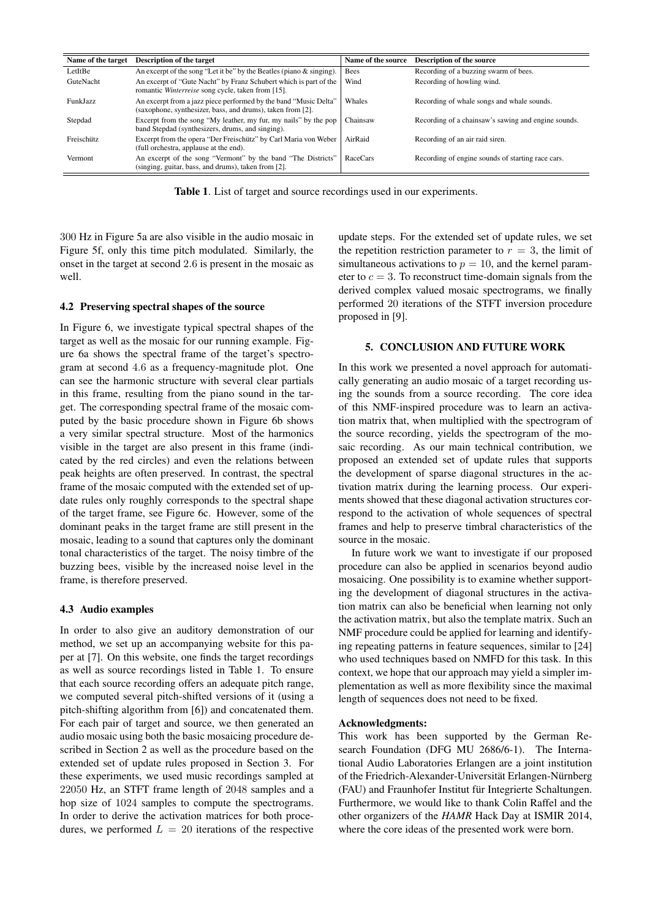| Name of the target | <b>Description of the target</b>                                                                                               | Name of the source | <b>Description of the source</b>                    |
|--------------------|--------------------------------------------------------------------------------------------------------------------------------|--------------------|-----------------------------------------------------|
| LetItBe            | An excerpt of the song "Let it be" by the Beatles (piano $\&$ singing).                                                        | <b>Bees</b>        | Recording of a buzzing swarm of bees.               |
| GuteNacht          | An excerpt of "Gute Nacht" by Franz Schubert which is part of the<br>romantic Winterreise song cycle, taken from [15].         | Wind               | Recording of howling wind.                          |
| <b>FunkJazz</b>    | An excerpt from a jazz piece performed by the band "Music Delta"<br>(saxophone, synthesizer, bass, and drums), taken from [2]. | Whales             | Recording of whale songs and whale sounds.          |
| Stepdad            | Excerpt from the song "My leather, my fur, my nails" by the pop<br>band Stepdad (synthesizers, drums, and singing).            | Chainsaw           | Recording of a chainsaw's sawing and engine sounds. |
| Freischütz         | Excerpt from the opera "Der Freischütz" by Carl Maria von Weber<br>(full orchestra, applause at the end).                      | AirRaid            | Recording of an air raid siren.                     |
| Vermont            | An excerpt of the song "Vermont" by the band "The Districts"<br>(singing, guitar, bass, and drums), taken from [2].            | RaceCars           | Recording of engine sounds of starting race cars.   |

Table 1. List of target and source recordings used in our experiments.

300 Hz in Figure 5a are also visible in the audio mosaic in Figure 5f, only this time pitch modulated. Similarly, the onset in the target at second 2.6 is present in the mosaic as well.

#### 4.2 Preserving spectral shapes of the source

In Figure 6, we investigate typical spectral shapes of the target as well as the mosaic for our running example. Figure 6a shows the spectral frame of the target's spectrogram at second 4.6 as a frequency-magnitude plot. One can see the harmonic structure with several clear partials in this frame, resulting from the piano sound in the target. The corresponding spectral frame of the mosaic computed by the basic procedure shown in Figure 6b shows a very similar spectral structure. Most of the harmonics visible in the target are also present in this frame (indicated by the red circles) and even the relations between peak heights are often preserved. In contrast, the spectral frame of the mosaic computed with the extended set of update rules only roughly corresponds to the spectral shape of the target frame, see Figure 6c. However, some of the dominant peaks in the target frame are still present in the mosaic, leading to a sound that captures only the dominant tonal characteristics of the target. The noisy timbre of the buzzing bees, visible by the increased noise level in the frame, is therefore preserved.

#### 4.3 Audio examples

In order to also give an auditory demonstration of our method, we set up an accompanying website for this paper at [7]. On this website, one finds the target recordings as well as source recordings listed in Table 1. To ensure that each source recording offers an adequate pitch range, we computed several pitch-shifted versions of it (using a pitch-shifting algorithm from [6]) and concatenated them. For each pair of target and source, we then generated an audio mosaic using both the basic mosaicing procedure described in Section 2 as well as the procedure based on the extended set of update rules proposed in Section 3. For these experiments, we used music recordings sampled at 22050 Hz, an STFT frame length of 2048 samples and a hop size of 1024 samples to compute the spectrograms. In order to derive the activation matrices for both procedures, we performed  $L = 20$  iterations of the respective update steps. For the extended set of update rules, we set the repetition restriction parameter to  $r = 3$ , the limit of simultaneous activations to  $p = 10$ , and the kernel parameter to  $c = 3$ . To reconstruct time-domain signals from the derived complex valued mosaic spectrograms, we finally performed 20 iterations of the STFT inversion procedure proposed in [9].

# 5. CONCLUSION AND FUTURE WORK

In this work we presented a novel approach for automatically generating an audio mosaic of a target recording using the sounds from a source recording. The core idea of this NMF-inspired procedure was to learn an activation matrix that, when multiplied with the spectrogram of the source recording, yields the spectrogram of the mosaic recording. As our main technical contribution, we proposed an extended set of update rules that supports the development of sparse diagonal structures in the activation matrix during the learning process. Our experiments showed that these diagonal activation structures correspond to the activation of whole sequences of spectral frames and help to preserve timbral characteristics of the source in the mosaic.

In future work we want to investigate if our proposed procedure can also be applied in scenarios beyond audio mosaicing. One possibility is to examine whether supporting the development of diagonal structures in the activation matrix can also be beneficial when learning not only the activation matrix, but also the template matrix. Such an NMF procedure could be applied for learning and identifying repeating patterns in feature sequences, similar to [24] who used techniques based on NMFD for this task. In this context, we hope that our approach may yield a simpler implementation as well as more flexibility since the maximal length of sequences does not need to be fixed.

#### Acknowledgments:

This work has been supported by the German Research Foundation (DFG MU 2686/6-1). The International Audio Laboratories Erlangen are a joint institution of the Friedrich-Alexander-Universität Erlangen-Nürnberg (FAU) and Fraunhofer Institut für Integrierte Schaltungen. Furthermore, we would like to thank Colin Raffel and the other organizers of the *HAMR* Hack Day at ISMIR 2014, where the core ideas of the presented work were born.